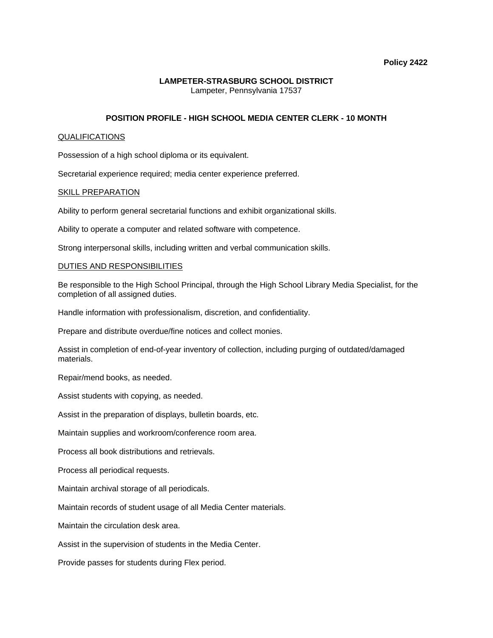### **Policy 2422**

# **LAMPETER-STRASBURG SCHOOL DISTRICT**  Lampeter, Pennsylvania 17537

# **POSITION PROFILE - HIGH SCHOOL MEDIA CENTER CLERK - 10 MONTH**

### QUALIFICATIONS

Possession of a high school diploma or its equivalent.

Secretarial experience required; media center experience preferred.

### SKILL PREPARATION

Ability to perform general secretarial functions and exhibit organizational skills.

Ability to operate a computer and related software with competence.

Strong interpersonal skills, including written and verbal communication skills.

### DUTIES AND RESPONSIBILITIES

Be responsible to the High School Principal, through the High School Library Media Specialist, for the completion of all assigned duties.

Handle information with professionalism, discretion, and confidentiality.

Prepare and distribute overdue/fine notices and collect monies.

Assist in completion of end-of-year inventory of collection, including purging of outdated/damaged materials.

Repair/mend books, as needed.

Assist students with copying, as needed.

Assist in the preparation of displays, bulletin boards, etc.

Maintain supplies and workroom/conference room area.

Process all book distributions and retrievals.

Process all periodical requests.

Maintain archival storage of all periodicals.

Maintain records of student usage of all Media Center materials.

Maintain the circulation desk area.

Assist in the supervision of students in the Media Center.

Provide passes for students during Flex period.